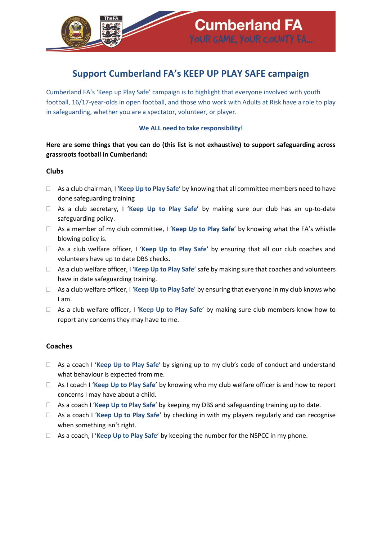

# **Support Cumberland FA's KEEP UP PLAY SAFE campaign**

Cumberland FA's 'Keep up Play Safe' campaign is to highlight that everyone involved with youth football, 16/17-year-olds in open football, and those who work with Adults at Risk have a role to play in safeguarding, whether you are a spectator, volunteer, or player.

#### **We ALL need to take responsibility!**

**Here are some things that you can do (this list is not exhaustive) to support safeguarding across grassroots football in Cumberland:**

#### **Clubs**

- As a club chairman, I '**Keep Up to Play Safe**' by knowing that all committee members need to have done safeguarding training
- As a club secretary, I '**Keep Up to Play Safe**' by making sure our club has an up-to-date safeguarding policy.
- As a member of my club committee, I '**Keep Up to Play Safe**' by knowing what the FA's whistle blowing policy is.
- As a club welfare officer, I '**Keep Up to Play Safe**' by ensuring that all our club coaches and volunteers have up to date DBS checks.
- As a club welfare officer, I '**Keep Up to Play Safe**' safe by making sure that coaches and volunteers have in date safeguarding training.
- As a club welfare officer, I '**Keep Up to Play Safe**' by ensuring that everyone in my club knows who I am.
- As a club welfare officer, I '**Keep Up to Play Safe**' by making sure club members know how to report any concerns they may have to me.

#### **Coaches**

- As a coach I '**Keep Up to Play Safe**' by signing up to my club's code of conduct and understand what behaviour is expected from me.
- As I coach I '**Keep Up to Play Safe**' by knowing who my club welfare officer is and how to report concerns I may have about a child.
- As a coach I '**Keep Up to Play Safe**' by keeping my DBS and safeguarding training up to date.
- As a coach I '**Keep Up to Play Safe**' by checking in with my players regularly and can recognise when something isn't right.
- As a coach, I '**Keep Up to Play Safe**' by keeping the number for the NSPCC in my phone.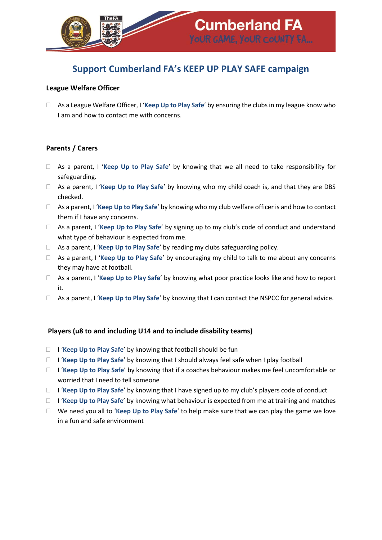

## **Support Cumberland FA's KEEP UP PLAY SAFE campaign**

#### **League Welfare Officer**

 As a League Welfare Officer, I '**Keep Up to Play Safe**' by ensuring the clubs in my league know who I am and how to contact me with concerns.

#### **Parents / Carers**

- As a parent, I '**Keep Up to Play Safe**' by knowing that we all need to take responsibility for safeguarding.
- As a parent, I '**Keep Up to Play Safe**' by knowing who my child coach is, and that they are DBS checked.
- As a parent, I '**Keep Up to Play Safe**' by knowing who my club welfare officer is and how to contact them if I have any concerns.
- As a parent, I '**Keep Up to Play Safe**' by signing up to my club's code of conduct and understand what type of behaviour is expected from me.
- As a parent, I '**Keep Up to Play Safe**' by reading my clubs safeguarding policy.
- As a parent, I '**Keep Up to Play Safe**' by encouraging my child to talk to me about any concerns they may have at football.
- As a parent, I '**Keep Up to Play Safe**' by knowing what poor practice looks like and how to report it.
- As a parent, I '**Keep Up to Play Safe**' by knowing that I can contact the NSPCC for general advice.

#### **Players (u8 to and including U14 and to include disability teams)**

- □ **I 'Keep Up to Play Safe'** by knowing that football should be fun
- I '**Keep Up to Play Safe**' by knowing that I should always feel safe when I play football
- I '**Keep Up to Play Safe**' by knowing that if a coaches behaviour makes me feel uncomfortable or worried that I need to tell someone
- I '**Keep Up to Play Safe**' by knowing that I have signed up to my club's players code of conduct
- I '**Keep Up to Play Safe**' by knowing what behaviour is expected from me at training and matches
- We need you all to '**Keep Up to Play Safe**' to help make sure that we can play the game we love in a fun and safe environment